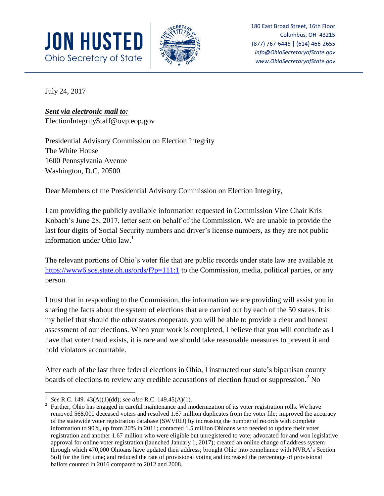



180 East Broad Street, 16th Floor Columbus, OH 43215 (877) 767-6446 | (614) 466-2655 *info@OhioSecretaryofState.gov www.OhioSecretaryofState.gov*

July 24, 2017

## *Sent via electronic mail to:*

ElectionIntegrityStaff@ovp.eop.gov

Presidential Advisory Commission on Election Integrity The White House 1600 Pennsylvania Avenue Washington, D.C. 20500

Dear Members of the Presidential Advisory Commission on Election Integrity,

I am providing the publicly available information requested in Commission Vice Chair Kris Kobach's June 28, 2017, letter sent on behalf of the Commission. We are unable to provide the last four digits of Social Security numbers and driver's license numbers, as they are not public information under Ohio law. $<sup>1</sup>$ </sup>

The relevant portions of Ohio's voter file that are public records under state law are available at <https://www6.sos.state.oh.us/ords/f?p=111:1> to the Commission, media, political parties, or any person.

I trust that in responding to the Commission, the information we are providing will assist you in sharing the facts about the system of elections that are carried out by each of the 50 states. It is my belief that should the other states cooperate, you will be able to provide a clear and honest assessment of our elections. When your work is completed, I believe that you will conclude as I have that voter fraud exists, it is rare and we should take reasonable measures to prevent it and hold violators accountable.

After each of the last three federal elections in Ohio, I instructed our state's bipartisan county boards of elections to review any credible accusations of election fraud or suppression.<sup>2</sup> No

 $\overline{\phantom{a}}$ 1 *See* R.C. 149. 43(A)(1)(dd); *see also* R.C. 149.45(A)(1).

<sup>2</sup> Further, Ohio has engaged in careful maintenance and modernization of its voter registration rolls. We have removed 568,000 deceased voters and resolved 1.67 million duplicates from the voter file; improved the accuracy of the statewide voter registration database (SWVRD) by increasing the number of records with complete information to 90%, up from 20% in 2011; contacted 1.5 million Ohioans who needed to update their voter registration and another 1.67 million who were eligible but unregistered to vote; advocated for and won legislative approval for online voter registration (launched January 1, 2017); created an online change of address system through which 470,000 Ohioans have updated their address; brought Ohio into compliance with NVRA's Section 5(d) for the first time; and reduced the rate of provisional voting and increased the percentage of provisional ballots counted in 2016 compared to 2012 and 2008.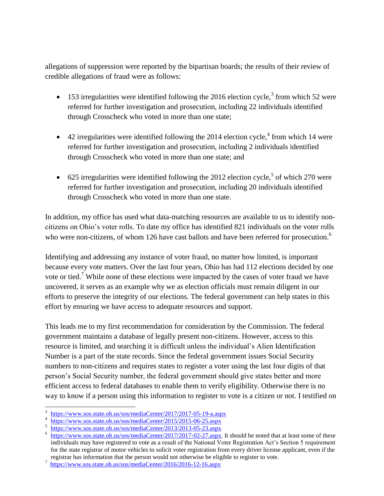allegations of suppression were reported by the bipartisan boards; the results of their review of credible allegations of fraud were as follows:

- $\bullet$  153 irregularities were identified following the 2016 election cycle,<sup>3</sup> from which 52 were referred for further investigation and prosecution, including 22 individuals identified through Crosscheck who voted in more than one state;
- $\bullet$  42 irregularities were identified following the 2014 election cycle,<sup>4</sup> from which 14 were referred for further investigation and prosecution, including 2 individuals identified through Crosscheck who voted in more than one state; and
- 625 irregularities were identified following the 2012 election cycle,<sup>5</sup> of which 270 were referred for further investigation and prosecution, including 20 individuals identified through Crosscheck who voted in more than one state.

In addition, my office has used what data-matching resources are available to us to identify noncitizens on Ohio's voter rolls. To date my office has identified 821 individuals on the voter rolls who were non-citizens, of whom 126 have cast ballots and have been referred for prosecution.<sup>6</sup>

Identifying and addressing any instance of voter fraud, no matter how limited, is important because every vote matters. Over the last four years, Ohio has had 112 elections decided by one vote or tied.<sup>7</sup> While none of these elections were impacted by the cases of voter fraud we have uncovered, it serves as an example why we as election officials must remain diligent in our efforts to preserve the integrity of our elections. The federal government can help states in this effort by ensuring we have access to adequate resources and support.

This leads me to my first recommendation for consideration by the Commission. The federal government maintains a database of legally present non-citizens. However, access to this resource is limited, and searching it is difficult unless the individual's Alien Identification Number is a part of the state records. Since the federal government issues Social Security numbers to non-citizens and requires states to register a voter using the last four digits of that person's Social Security number, the federal government should give states better and more efficient access to federal databases to enable them to verify eligibility. Otherwise there is no way to know if a person using this information to register to vote is a citizen or not. I testified on

 $\overline{a}$ 3 <https://www.sos.state.oh.us/sos/mediaCenter/2017/2017-05-19-a.aspx>

<sup>4</sup> <https://www.sos.state.oh.us/sos/mediaCenter/2015/2015-06-25.aspx>

<sup>5</sup> <https://www.sos.state.oh.us/sos/mediaCenter/2013/2013-05-23.aspx>

<sup>6</sup> [https://www.sos.state.oh.us/sos/mediaCenter/2017/2017-02-27.aspx.](https://www.sos.state.oh.us/sos/mediaCenter/2017/2017-02-27.aspx) It should be noted that at least some of these individuals may have registered to vote as a result of the National Voter Registration Act's Section 5 requirement for the state registrar of motor vehicles to solicit voter registration from every driver license applicant, even if the registrar has information that the person would not otherwise be eligible to register to vote.

<sup>7</sup> <https://www.sos.state.oh.us/sos/mediaCenter/2016/2016-12-16.aspx>